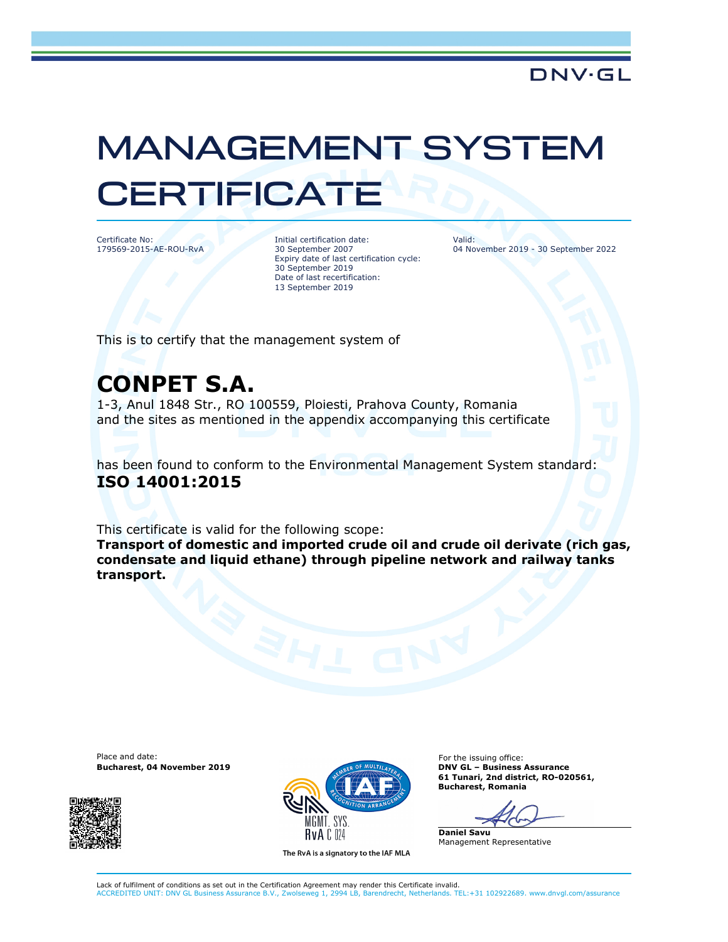## MANAGEMENT SYSTEM **CERTIFICATE**

Certificate No: 179569-2015-AE-ROU-RvA Initial certification date: 30 September 2007 Expiry date of last certification cycle: 30 September 2019 Date of last recertification: 13 September 2019

Valid: 04 November 2019 - 30 September 2022

This is to certify that the management system of

## CONPET S.A.

1-3, Anul 1848 Str., RO 100559, Ploiesti, Prahova County, Romania and the sites as mentioned in the appendix accompanying this certificate

has been found to conform to the Environmental Management System standard: ISO 14001:2015

This certificate is valid for the following scope:

Transport of domestic and imported crude oil and crude oil derivate (rich gas, condensate and liquid ethane) through pipeline network and railway tanks transport.

Place and date: For the issuing office:





The RvA is a signatory to the IAF MLA

61 Tunari, 2nd district, RO-020561, Bucharest, Romania

Daniel Savu Management Representative

Lack of fulfilment of conditions as set out in the Certification Agreement may render this Certificate invalid. ACCREDITED UNIT: DNV GL Business Assurance B.V., Zwolseweg 1, 2994 LB, Barendrecht, Netherlands. TEL:+31 102922689. www.dnvgl.com/assurance